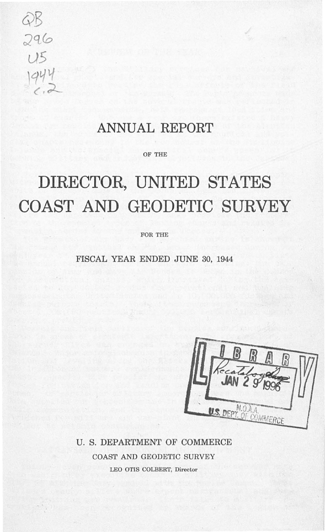296

### **ANNUAL REPORT**

OF THE

# **DIRECTOR, UNITED STATES COAST AND GEODETIC SURVEY**

FOR THE

FISCAL YEAR ENDED JUNE 30, 1944

U. S. DEPARTMENT OF COMMERCE COAST AND GEODETIC SURVEY LEO OTIS COLBERT, Director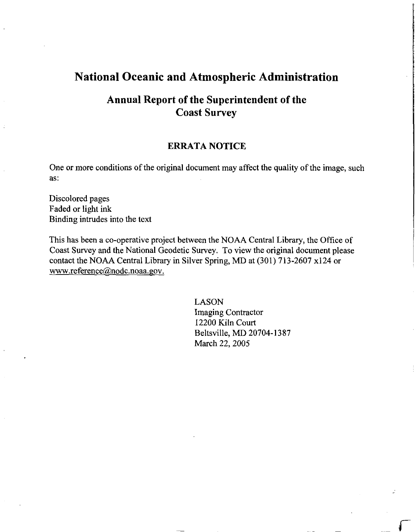## **National Oceanic and Atmospheric Administration**

## **Annual Report of the Superintendent of the Coast Survey**

### **ERRATA NOTICE**

One or more conditions of the original document may affect the quality of the image, such as:

Discolored pages Faded or light ink Binding intrudes into the text

This has been a co-operative project between the NOAA Central Library, the Office of Coast Survey and the National Geodetic Survey. To view the original document please contact the NOAA Central Library in Silver Spring, MD at (301) 713-2607 xl24 or www.reference@nodc.noaa.gov.

> LASON Imaging Contractor 12200 Kiln Court Beltsville, MD 20704-1387 March 22, 2005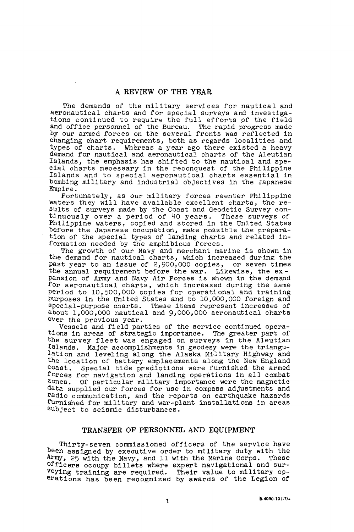The demands of the military services for nautical and aeronautical charts and for special surveys and investigations continued to require the full efforts of the field and office personnel of the Bureau. The rapid progress made by our armed forces on the several fronts was reflected in changing chart requirements, both as regards localities and types of charts. Whereas a year ago there existed a heavy demand for nautical and aeronautical charts of the Aleutian Islands, the emphasis has shifted to the nautical and special charts necessary in the reconquest of the Philippine Islands and to special aeronautical charts essential 1n bombing military and industrial objectives in the Japanese Empire.

Fortunately, as our military forces reenter Ph111pp1ne waters they will have available excellent charts, the results of surveys made by the Coast and Geodetic Survey continuously over a period of 40 years. These surveys of Philippine waters, copied and stored 1n the United States before the Japanese occupation, make possible the preparation of the special types of landing charts and related 1nformation needed by the amphibious forces.

The growth of our Navy and merchant marine is shown 1n the demand for nautical charts, which increased during the past year to an issue of  $2,900,000$  copies, or seven times past year to an issue of 2,900,000 copies, the annual requirement before the war. Likewise, the expansion of Army and Navy Air Forces ls shown in the demand for aeronautical charts, which increased during the same Period ta 10,500,000 copies for operational and training Purposes in the United States and to 10,000,000 foreign and special-purpose charts. These items represent increases of about 1,000,000 nautical and 9,000,000 aeronautical charts over the previous year.

Vessels and field parties of the service continued operations 1n areas of strategic importance. The greater part of the survey fleet was engaged on surveys 1n the Aleutian Islands. Major accomplishments in geodesy were the triangulation and leveling along the Alaska Military Highway and the location of battery emplacements along the New England coast. Special tide predictions were furnished the armed forces for navigation and landing operations in all combat zones. Of particular military importance were the magnetic data supplied our forces for use in compass adjustments and radio conununication, and the reports on earthquake hazards furnished for military and war-plant installations in areas subject to seismic disturbances.

#### TRANSFER OF PERSONNEL AND EQUIPMENT

Thirty-seven commissioned officers of the service have been assigned by executive order to military duty with the Army, 25 with the Navy. and 11 with the Marine Corps. These Army, 25 with the Navy, and 11 with the Marine Corps. Officers occupy billets where expert navigational and surveying training are required. Their value to military operations has been recognized by awards of the Legion of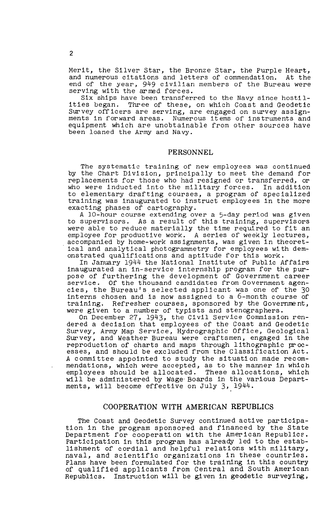Merit, the Silver Star, the Bronze Star, the Purple Heart, and numerous citations and letters of commendation. At the end of the year, 949 civilian members of the Bureau were serving with the armed forces.

Six ships have been transferred to the Navy since hostilities began. Three of these, on which Coast and Geodetic Survey officers are serving, are engaged on survey assignments in forward areas. Numerous items of instruments and equipment which are unobtainable from other sources have been loaned the Army and Navy.

#### PERSONNEL

The systematic training of new employees was continued by the Chart Division, principally to meet the demand for replacements for those who had resigned or transferred, or who were inducted into the military forces. In addition to elementary drafting courses, a program of specialized training was inaugurated to instruct employees in the more exacting phases of cartography.

A 10-hour course extending over a 5-day period was given<br>to supervisors. As a result of this training, supervisors As a result of this training, supervisors were able to reduce materially the time required to fit an employee for productive work. A series of weekly lectures, accompanied by home-work assignments, was given in theoretical and analytical photogrammetry for employees with demonstrated qualifications and aptitude for this work.

In January 1944 the National Institute of Public Affairs inaugurated an in-service internship program for the purpose of furthering the development of Government career service. Of the thousand candidates from Government agencies, the Bureau's selected applicant was one of the 30 interns chosen and is now assigned to a 6-month course of training. Refresher courses, sponsored by the Government, were given to a number of typists and stenographers.

On December 27, 1943, the Civil Service Commission rendered a decision that employees of the Coast and Geodetic Survey, Army Map Service, Hydrographic Office, Geological Survey, and Weather Bureau were craftsmen, engaged in the reproduction of charts and maps through lithographic processes, and should be excluded from the Classification Act. A committee appointed to study the situation made recommendations, which were accepted, as to the manner in which employees should be allocated. These allocations, which will be administered by Wage· Boards in the various Departments, will become effective on July 3, 1944.

#### COOPERATION WITH AMERICAN REPUBLICS

The Coast and Geodetic Survey continued active participation in the program sponsored and financed by the State Department for cooperation with the American Republics. Participation in this program has already led to the establishment of cordial and helpful relations with military, naval, and scientific organizations in these countries. Plans have been formulated for the training in this country of qualified applicants from Central and South American Republics. Instruction will be given in geodetic surveying,

2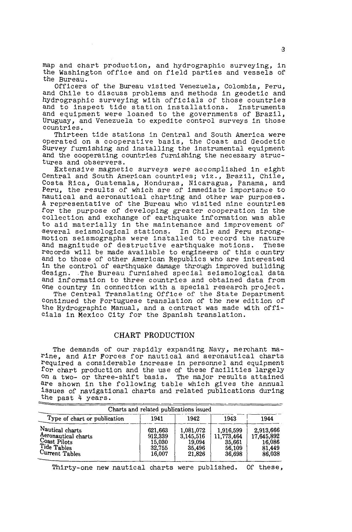map and chart production, and hydrographic surveying, in the Washington office and on field parties and vessels of the Bureau.

Officers of the Bureau visited Venezuela, Colombia, Peru, and Chile to discuss problems and methods in geodetic and hydrographic surveying with officials of those countries and to inspect tide station installations. Instruments and equipment were loaned to the governments of Brazil, Uruguay, and Venezuela to expedite control surveys in those countries.

Thirteen tide stations in Central and South America were operated on a cooperative basis, the Coast and Geodetic Survey furnishing and installing the instrumental equipment and the cooperating countries furnishing the necessary structures and observers.

Extensive magnetic surveys were accompiished in eight Central and South American countries; viz., Brazil, Chile, Costa Rica, Guatemala, Honduras, Nicaragua, Panama, and essed fired, calcomate, hondinary, whose again funding and nautical and aeronautical charting and other war purposes. A representative of the Bureau who visited nine countries for the purpose of developing greater cooperation in the collection and exchange of earthquake information was able to aid materially in the maintenance and improvement of ·several seismological stations. In Chile and Peru strongmotion seismographs were ins'talled to record the nature and magnitude of destructive earthquake motions. records will be made available to engineers of this country and to those of other American Republics who are interested in the control of earthquake damage through improved building design .. The Bureau furnished special seismological data design. The Bureau furnished special seismological data and information to three countries and obtained data from one country in connection with a special research project.

The Central Translating Office of the State Department continued the Portuguese translation of the new edition of the Hydrographic Manual, and a contract was made with officials in Mexico City for the Spanish translation.

#### CHART PRODUCTION

The demands of our rapidly expanding Navy, merchant marine, and Air Forces for nautical and aeronautical charts required a considerable increase in personnel and equipment for chart production and the use of these facilities largely on a two- or three-shift basis. The major results attained are shown in the following table which gives the annual issues of navigational charts and related publications during the past 4 years.

|                                                                                         | Charts and related publications issued           |                                                      |                                                       |                                                       |
|-----------------------------------------------------------------------------------------|--------------------------------------------------|------------------------------------------------------|-------------------------------------------------------|-------------------------------------------------------|
| Type of chart or publication                                                            | 1941                                             | 1942                                                 | 1943                                                  | 1944                                                  |
| Nautical charts<br>Aeronautical charts<br>Coast Pilots<br>Tide Tables<br>Current Tables | 621,663<br>912.339<br>15.030<br>32.755<br>16,007 | 1.081.072<br>3.145.516<br>19.094<br>35,496<br>21,826 | 1.916.599<br>11,773,464<br>35.661<br>56.109<br>36,698 | 2,913,666<br>17,645,892<br>16.086<br>81.449<br>86,038 |

Thirty-one new nautical charts were published. Of these,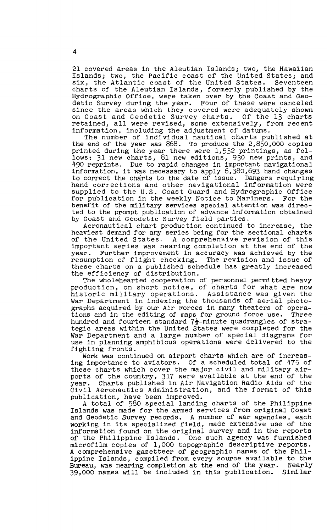21 covered areas in the Aleutian Islands; two, the Hawaiian Islands; two, the Pacific coast of the United States; and six, the Atlantic coast of the United States. Seventeen charts of the Aleutian Islands, formerly published by the Hydrographic Office, were taken over by the Coast and Geodetic Survey during the year. Four of these were canceled since the areas which they covered were adequately shown on Coast and Geodetic Survey charts. Of the 13 charts on Coast and Geodetic Survey charts. retained, all were revised, some extensively, from recent information, including the adjustment of datums.

The number of individual nautical charts published at the end of the year was 868. To produce the 2,850,000 copies printed during the year there were 1,532 printings, as follows: 31 new charts, 81 new editions, 930 new prints, and 490 reprints. Due to rapid changes in important navigational 450 reprints. Due to rapid changes in important havigational information, it was necessary to apply 6,380,693 hand changes to correct the charts to the date of issue. Dangers requiring hand corrections and other navigational information were supplied to the U.S. Coast Guard and Hydrographic Office for publication in the weekly Notice to Mariners. For the benefit of the military services special attention was directed to the prompt publication of advance information obtained by Coast and Geodetic Survey field parties.

Aeronautical chart production continued to increase, the heaviest demand for any series being for the sectional charts<br>of the United States. A comprehensive revision of this A comprehensive revision of this important series was nearing completion at the end of the year. Further improvement in accuracy was achieved by the resumption of flight checking. The revision and issue of these charts on a published schedule has greatly increased the efficiency of distribution.

The wholehearted cooperation of personnel permitted heavy production, on short notice, of charts for what are now historic military operations. Assistance was given the War Department in indexing the thousands of aerial photographs acquired by our Air Forces in many theaters of operations and in the editing of maps for ground force use. Three hundred and fourteen standard  $7\frac{1}{2}$ -minute quadrangles of strategic areas within the United States were completed for the War Department and a large number of special diagrams for use in planning amphibious operations were delivered to the fighting fronts.

Work was continued on airport charts which are of increasing importance to aviators. Of a scheduled total of 475 of these charts which cover the major civil and military airports of the country, 317 were available at the end of the year. Charts published in Air Navigation Radio Aids of the Civil Aeronautics Administration, and the format of this publication, have been improved.

A total of 580 special landing charts of the Philippine Islands was made for the armed services from original Coast and Geodetic Survey records. A number of war agencies, each working in its specialized field, made extensive use of the information found on the original survey and in the reports of the Philippine Islands. One such agency was furnished microfilm copies of 1,000 topographic descriptive reports. A comprehensive gazetteer of geographic names of the Philippine Islands, compiled from every source available to the Bureau, was nearing completion at the end of the year. Nearly 39,000 names will be included in this publication. Similar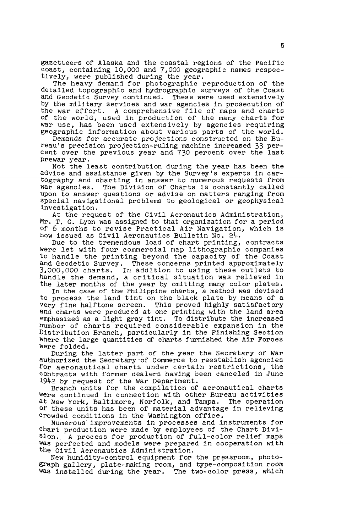gazetteers of Alaska and the coastal regions of the Pacific coast, containing 10,000 and 7,000 geographic names respec-<br>tively, were published during the year.

The heavy demand for photographic reproduction of the detailed topographic and hydrographic surveys of the Coast and Geodetic Survey continued. These were used extensively by the military services and war agencies in prosecution of the war effort. A comprehensive file of maps and charts of the world, used in production of the many charts for war use, has been used extensively by agencies requiring geographic information about various parts of the world.

Demands for accurate projections constructed on the Bureau's precision projection-ruling machine increased 33 per-cent over the previous year and 730 percent over the last prewar year.

Not the least contribution during the year has been the advice and assistance given by the Survey's experts in cartography and charting in answer to numerous requests from war agencies. The Division of Charts is constantly called upon to answer questions or advise on matters ranging from special navigational problems to geological or geophysical investigation.

At the request of the Civil Aeronautics Administration, Mr. T. C. Lyon was assigned to that organization for a period of 6 months to revise Practical Air Navigation, which is now issued as Civil Aeronautics Bulletin No. 24.

Due to the tremendous load of chart printing, contracts were let with four commercial map lithographic companies to handle the printing beyond the capacity of the Coast and Geodetic Survey. These concerns printed approximately *3,000,000* charts. In addition to using these outlets to b,000,000 charts. In addition to dsing these outlets to handle the demand, a critical situation was relieved in the later months of the year by omitting many color plates.

In the case of the Philippine charts, a method was devised to process the land tint on the black plate by means of a Very fine halftone screen. This proved highly satisfactory and charts were produced at one printing with the land area emphasized as a light gray tint. To distribute the increased number of charts required considerable expansion in the Distribution Branch, particularly in the Finishing Section Where the large quantities of charts furnished the Air Forces were folded.

During the latter part of the year the Secretary of War authorized the Secretary·of Commerce to reestablish agencies for aeronautical charts under certain restrictions, the contracts with former dealers having been canceled in June 1942 by request of' the War Department.

Branch units for the compilation of aeronautical charts were continued in connection with other Bureau activities at New York, Baltimore, Norfolk, and Tampa. The operation of these units has been of material advantage in relieving crowded conditions in the Washington office.

Numerous improvements in processes and instruments for chart production were made by employees of the Chart Division. A process for production of full-color relief maps was perfected and models were prepared in cooperation with the Civil Aeronautics Administration.

New humidity-control equipment for the pressroom, photograph gallery, plate-making room, and type-composition room was installed during the year. The two-color press, which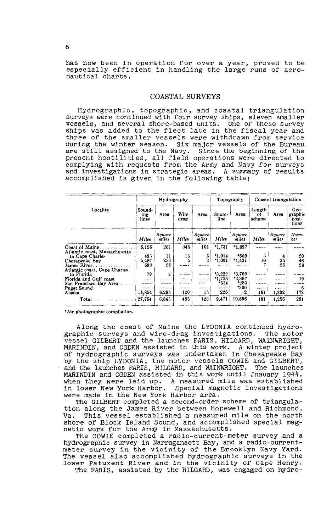has now been in operation for over a year, proved to be especially efficient in handling the large runs of aeronautical charts.

#### COASTAL SURVEYS

Hydrographic, topographic, and coastal triangulation surveys were continued with four survey ships, eleven smaller vessels, and several shore-based units. One of these survey ships was added to the fleet late in the fiscal year and three of the smaller vessels were withdrawn from service during the winter season. Six major vessels of the Bureau are still assigned to the Navy. Since the beginning of the present hostilities, all field operations were directed to complying with requests from the Army and Navy for surveys and investigations in strategic areas. A summary of results accomplished is given in the following table:

|                                                  |                        | Hydrography            |              |                 | Topography     |                   | Coastal triangulation  |                 |                                   |
|--------------------------------------------------|------------------------|------------------------|--------------|-----------------|----------------|-------------------|------------------------|-----------------|-----------------------------------|
| Locality                                         | Sound-<br>ing<br>lines | Агеа                   | Wire<br>drag | Area            | Shore-<br>line | Area              | Length<br>Ωf<br>scheme | Агеа            | Geo-<br>graphic<br>posi-<br>tions |
|                                                  | Miles                  | <b>Square</b><br>miles | Miles        | Souare<br>miles | Miles          | Square<br>miles   | Miles                  | Sauare<br>milen | Num-<br>ber                       |
| Coast of Maine.<br>Atlantic coast, Massachusetts | 6,156                  | 261                    | 345          | 101             | $*1,731$       | *1,897            |                        |                 |                                   |
| to Cape Charles                                  | 495                    | 11                     | 15           | 5               | $*1.014$       | *669              | 3                      | 4               | 20                                |
| Chesapeake Bay                                   | 5,487                  | 250                    | 5            | $\overline{2}$  | $*1,001$       | $^{\bullet}1,431$ | 10                     | 25              | 46                                |
| James River.<br>Atlantic coast, Cape Charles     | 693                    | 26                     |              |                 |                |                   |                        | 25              | 28                                |
| to Florida                                       | 79                     | $\boldsymbol{2}$       | $-0.000$     |                 | *3,222         | 2.769             |                        |                 |                                   |
| Florida and Gulf coast                           |                        |                        |              |                 | •1.723         | 2,387             |                        |                 | 19                                |
| San Francisco Bay Area                           |                        |                        | .            | $-0.5 + 1.$     | *554           | $*283$            |                        |                 |                                   |
| Puget Sound                                      |                        |                        |              |                 |                | *200              |                        |                 | -6                                |
| Alaska                                           | 14.854                 | 6,295                  | 120          | 15              | 226            | 2                 | 161                    | 1,202           | 172                               |
| Total                                            | 27,764                 | 6,845                  | 485          | 123             | 9,471          | 10,696            | 181                    | 1,256           | 291                               |

\*Air photographic compilation.

Along the coast of Maine the LYDONIA continued hydrographic surveys and wire-drag investigations. The motor vessel GILBERT and the launches FARIS, HILGARD, WAINWRIGHT, MARINDIN, and OGDEN assisted in this work. A winter project of hydrographic surveys was undertaken in Chesapeake Bay by the ship LYDONIA, the motor vessels COWIE and GILBERT,<br>and the launches FARIS, HILGARD, and WAINWRIGHT. The launches<br>MARINDIN and OGDEN assisted in this work until Jnauary 1944, when they were laid up. A measured mile was established in lower New York Harbor. Special magnetic investigations were made in the New York Harbor area.

The GILBERT completed a second-order scheme of triangulation along the James River between Hopewell and Richmond, This vessel established a measured mile on the north Va. shore of Block Island Sound, and accomplished special magnetic work for the Army in Massachusetts.<br>The COWIE completed a radio-current-meter survey and a

hydrographic survey in Narragansett Bay, and a radio-current-<br>meter survey in the vicinity of the Brooklyn Navy Yard.<br>The vessel also accomplished hydrographic surveys in the lower Patuxent River and in the vicinity of Cape Henry.<br>The FARIS, assisted by the HILGARD, was engaged on hydro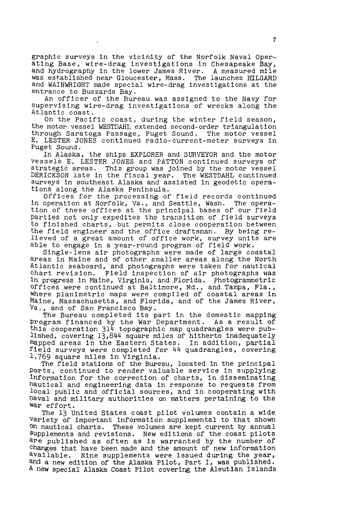graphic surveys in the vicinity of the Norfolk Naval Operating Base, wire-drag investigations in Chesapeake Bay, and hydrography in the lower James River. *A* measured mile was established near Gloucester, Mass. The launches HILGARD and WAINWRIGHT made special wire-drag investigations at the entrance to Buzzards Bay.

An officer of the Bureau was assigned to the Navy for supervising wire-drag investigations of wrecks along the Atlantic coast.

On the Pacific coast, during the winter field season, the motor vessel WESTDAHL extended second-order triangulation through Saratoga Passage, Puget Sound. The motor vessel E. LESTER JONES continued radio-current-meter surveys in Puget Sound.

In Alaska, the ships EXPLORER and SURVEYOR and the motor vessels E. LESTER JONES and PATTON continued surveys of strategic areas. This group was joined by the motor vessel DERICKSON late in the fiscal year. The WESTDAHL continued surveys in southeast Alaska and assisted in geodetic operations along the Alaska Peninsula.

Offices for the processing of field records continued in operation at Norfolk, Va., and Seattle, Wash. The operation of these offices at the principal bases of our field parties not only expedites the transition of field surveys to finished charts, but permits close cooperation between the field engineer and the office draftsman. By being relieved of a great amount of office work, survey units are able to engage in a year-round program of field work.

Single-lens air photographs were made of large coastal areas in Maine and of other smaller areas along the North Atlantic seaboard, and photographs were taken for nautical chart revision. Field inspection of air photographs was in progress in Maine, Virginia, and Florida. Photogrammetric offices were continued at Baltimore, Md., and Tampa, Fla., where planimetric maps were compiled of coastal areas in Maine, Massachusetts, and Florida, and of the James River, Va., and of San Francisco Bay.

, and of San Francisco Bay.<br>The Bureau completed its part in the domestic mapping Program financed by the War Department. As a result of this cooperation 314 topographic map quadrangles were published, covering 13,844 square miles of hitherto inadequately mapped areas in the Eastern States. In addition, partial field surveys were completed for 44 quadrangles, covering 1,769 square miles in Virginia.

The field stations of the Bureau, located in the principal Ports, continued to render valuable service in supplying information for the correction of charts, in disseminating nautical and engineering data in response to requests from local public and official sources, and in cooperating with haval and military authorities on matters pertaining to the war effort.

The 13 United States coast pilot volumes contain a wide variety of important information supplemental to that shown on nautical charts. These volumes are kept current by annual supplements and revisions. New editions of the coast pilots are published as often as is warranted by the number of changes that have been made and the amount of new information<br><sup>available. Nine supplements were issued during the year,</sup> Nine supplements were issued during the year, and a new edition of the Alaska Pilot, Part I, was published. A new special Alaska Coast Pilot covering the Aleutian Islands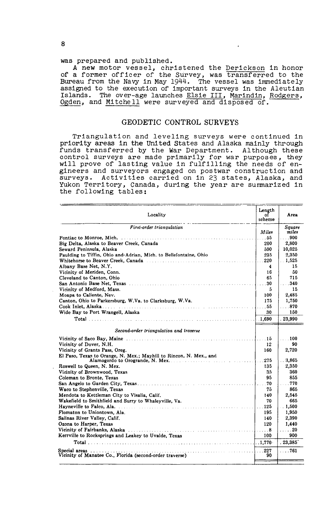#### was prepared and published.

A new motor vessel, christened the Derickson in honor of a former officer of the Survey, was transferred to the Bureau from the Navy in May 1944. The vessel was immediately assigned to the execution of important surveys in the Aleutian Islands. The over-age launches Elsie III, Marindin, Rodgers, Ogden, and Mitchell were surveyed and disposed of.

#### GEODETIC CONTROL SURVEYS

Triangulation and leveling surveys were continued in priority areas in the United States and Alaska mainly through funds transferred by the War Department. Although these control surveys are made primarily for war purposes, they will prove of lasting value in fulfilling the needs of engineers and surveyors engaged on postwar construction and surveys. Activities carried on in 23 states, Alaska, and Yukon Territory, Canada, during the year are summarized in the following tables:

| Locality                                                           | Length       | Агеа           |
|--------------------------------------------------------------------|--------------|----------------|
|                                                                    | οf<br>scheme |                |
| First-order triangulation                                          |              | Souare         |
|                                                                    | Miles        | miles          |
|                                                                    | . 55         | $\ldots$ 900   |
| Big Delta, Alaska to Beaver Creek, Canada                          | 200          | 2,800          |
| Seward Peninsula, Alaska                                           | 500          | 10,025         |
| Paulding to Tiffin, Ohio and Adrian, Mich. to Bellefontaine, Ohio  | 235          | 2,350          |
|                                                                    | 220          | . 1,525        |
| Albany Base Net, N.Y.                                              | 4            | 15             |
| Vicinity of Meriden, Conn.                                         | 16           | 50             |
| Cleveland to Canton, Ohio                                          | 65           | 715            |
|                                                                    | .30          | $\ldots$ 340   |
| Vicinity of Medford, Mass.                                         | 5            | 15             |
| Moapa to Caliente, Nev.                                            | 100          | 2.485          |
| Canton, Ohio to Parkersburg, W.Va. to Clarksburg, W.Va.            | 175          | 1,750          |
|                                                                    | $\ldots$ 55  | . 870          |
| Wide Bay to Port Wrangell, Alaska                                  | 30           | 150            |
|                                                                    |              | . 23.990       |
| Second-order triangulation and traverse                            |              |                |
|                                                                    | $\ldots$ 15  | . 100          |
| Vicinity of Dover, N.H.                                            | 12           | 90             |
| Vicinity of Grants Pass, Oreg.                                     | 160          | 2,720          |
| El Paso, Texas to Orange, N. Mex.; Mayhill to Rincon, N. Mex., and | .275         | . .3.865       |
| Roswell to Queen, N. Mex.                                          | 135          | 2,350          |
| Vicinity of Brownwood, Texas                                       | 35           | 360            |
| Coleman to Bronte, Texas                                           | 95           | 855            |
|                                                                    | .70          | $\ldots$ 770   |
| Waco to Stephenville, Texas                                        | 75           | 865            |
| Mendota to Kettleman City to Visalia, Calif.                       | 140          | 2.545          |
| Wakefield to Smithfield and Surry to Whalevville. Va.              | 70           | 665            |
|                                                                    | $\ldots$ 125 | 1,500          |
| Flomaton to Uniontown, Ala.                                        | 195          | 1,950          |
| Salinas River Valley, Calif.                                       | 140          | 2,390          |
| Ozona to Harper, Texas                                             | 120          | 1,440          |
|                                                                    | . 8          | . 20           |
| Kerrville to Rocksprings and Leakey to Uvalde, Texas               | 100          | 900            |
|                                                                    |              | .23,385        |
| Special areas                                                      | $\ldots$ 227 | $\ldots$ . 761 |
| Vicinity of Manatee Co., Florida (second-order traverse)           | 90           |                |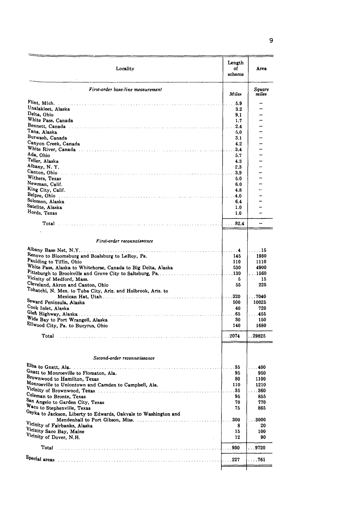| Locality                                                                              | Length<br>of<br>scheme | Area                     |
|---------------------------------------------------------------------------------------|------------------------|--------------------------|
| First-order base-line measurement                                                     | Miler                  | Square<br>miles          |
|                                                                                       | $\ldots$ 5.9           |                          |
| Unalakleet, Alaska                                                                    | 3.2                    |                          |
| Delta, Ohio                                                                           | 9,1                    |                          |
| White Pass, Canada                                                                    | 1,7                    |                          |
|                                                                                       | .2.4                   |                          |
| Tana, Alaska                                                                          | 5.0                    |                          |
| Burwash, Canada                                                                       | 3.1                    |                          |
| Canyon Creek, Canada                                                                  | 4.2                    |                          |
|                                                                                       | $\ldots$ 3.4           |                          |
| Ada, Ohio                                                                             | 5.7                    |                          |
| Teller, Alaska                                                                        | 4.3                    |                          |
| Albany, N.Y.                                                                          | 2,3                    |                          |
|                                                                                       |                        |                          |
| Withers, Texas<br>Newman, Calif.                                                      | 5.0                    |                          |
| King City, Calif.                                                                     | 6.0<br>4.8             | $\overline{\phantom{a}}$ |
|                                                                                       | $\ldots$ . 4.0 $\,$    |                          |
| Solomon, Alaska                                                                       | 6,4                    |                          |
| Satelite, Alaska                                                                      | 1.0                    |                          |
| Hords, Texas                                                                          | 1.0                    |                          |
|                                                                                       |                        |                          |
|                                                                                       | $\ldots$ . 82.4        | $\overline{\phantom{0}}$ |
|                                                                                       |                        |                          |
| First-order reconnaissance                                                            |                        |                          |
|                                                                                       |                        |                          |
|                                                                                       | I. <b>4</b>            | . 15                     |
| Renovo to Bloomsburg and Boalsburg to LeRoy, Pa.                                      | 145                    | 1930                     |
| Paulding to Tiffin, Ohio                                                              | 110                    | 1110                     |
| White Pass, Alaska to Whitehorse, Canada to Big Delta, Alaska                         | 530                    | 4900                     |
| Vicinity of Medford, Mass.                                                            | 5                      | $\dots$ 1560<br>15       |
| Cleveland, Akron and Canton, Ohio                                                     | 55                     | 225                      |
| Tohatchi, N. Mex. to Tuba City, Ariz. and Holbrook, Ariz. to                          |                        |                          |
|                                                                                       |                        | $\ldots$ 7040            |
| Seward Peninsula, Alaska                                                              | 500                    | 10025                    |
| Cook Inlet, Alaska                                                                    | 40                     | 720                      |
|                                                                                       |                        | $\ldots$ 455             |
| Wide Bay to Port Wrangell, Alaska                                                     | 30                     | 150                      |
| Ellwood City, Pa. to Bucyrus, Ohio                                                    | 140                    | 1680                     |
|                                                                                       | I. 2074.               | . . 29825                |
| Second-order reconnaissance                                                           |                        |                          |
|                                                                                       |                        |                          |
|                                                                                       | . 35                   | . 400                    |
| Gnatt to Monroeville to Flomaton, Ala.                                                | 95<br>80               | 950                      |
| Brownwood to Hamilton, Texas<br>Monroeville to Uniontown and Camden to Campbell, Ala. |                        | 1100                     |
| Vicinity of Brownwood, Texas                                                          | 110<br>. 35            | 1210<br>. 360            |
| Coleman to Bronte, Texas                                                              | 95                     | 855                      |
| San Angelo to Garden City, Texas                                                      | 70                     | 770                      |
| Waco to Stephenville, Texas                                                           | 75                     | 865                      |
| Osyka to Jackson, Liberty to Edwards, Oakvale to Washington and                       |                        |                          |
|                                                                                       | 300<br>J.              | $\ldots$ 3000            |
| <sup>Vicinity of Fairbanks, Alaska</sup>                                              | 8                      | 20                       |
|                                                                                       | 15                     | 100                      |
|                                                                                       | 12                     | 90                       |
| Vicinity Saco Bay, Maine                                                              |                        |                          |
| Vicinity of Dover, N.H.                                                               |                        | $\ldots$ 9720            |
|                                                                                       | $\ldots$ . 227         | . 761                    |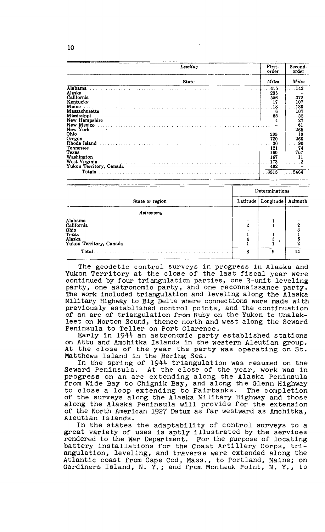|                         | Leveling     | First-<br>order | Second-<br>order |
|-------------------------|--------------|-----------------|------------------|
|                         | <b>State</b> | Miles           | Miles            |
| Alabama                 |              | $\ldots$ 415    | 142              |
| Alaska                  |              | 235             |                  |
| California              |              | 556             | 372              |
| Kentucky                |              | 17              | 107              |
| Maine                   |              | 18              | 130              |
| Massachusetts           |              | 6               | 107              |
| Mississippi             |              | 88              | 35               |
| New Hampshire           |              | 4               | 27               |
|                         |              |                 | 61               |
| New York                |              |                 | 265              |
| Ohio                    |              | 203             | 18               |
| Oregon                  |              | 720             | 266              |
|                         |              | .30             | .90              |
| Tennessee               |              | 121             | 74               |
| Texas                   |              | 160             | 757              |
| Washington              |              | 167             | 11               |
|                         |              |                 |                  |
| Yukon Territory, Canada |              | 402             |                  |
| Totals                  |              | .3315           | 2464             |

|                                                                             | Determinations |                     |    |  |  |
|-----------------------------------------------------------------------------|----------------|---------------------|----|--|--|
| State or region                                                             | Latitude       | Longitude   Azimuth |    |  |  |
| Astronomy                                                                   |                |                     |    |  |  |
| Alabama<br>California<br>Ohio<br>Texas<br>Alaska<br>Yukon Territory, Canada | -<br>2         |                     |    |  |  |
| Total.                                                                      | 8              | 9                   | 14 |  |  |

The geodetic control surveys in progress in Alaska and Yukon Territory at the close of the last fiscal year were continued by four triangulation parties, one 3-unit leveling party, one astronomic party, and one reconnaissance party. The work included triangulation and leveling along the Alaska Military Highway to Big Delta where connections were made with previously established control points, and the continuation of an arc of triangulation from Ruby on the Yukon to Unalakleet on Norton Sound, thence north and west along the Seward Peninsula to Teller on Port Clarence.

Early in 1944 an astronomic party established stations on Attu and Amchitka Islands in the western Aleutian group. At the close of the year the party was operating on St. Matthews Island in the Bering Sea.

In the spring of 1944 triangulation was resumed on the Seward Peninsula. At the close of the year, work was in progress on an arc extending along the Alaska Peninsula from Wide Bay to Chignik Bay, and along the Glenn Highway to close a loop extending to Fairbanks. The completion to close a loop extending to Fairbanks. of the surveys along the Alaska Military Highway and those along the Alaska Peninsula will provide for the extension of the North American 1927 Datum as far westward as Amchitka, Aleutian Islands.

In the states the adaptability of control surveys to a great variety of uses is aptly illustrated by the services rendered to the War Department. For the purpose of locating battery installations for the Coast Artillery Corps, triangulation, leveling, and traverse were extended along the Atlantic coast from Cape Cod, Mass., to Portland, Maine; on Gardiners Island, N. Y.; and from Montauk Point, N. Y., to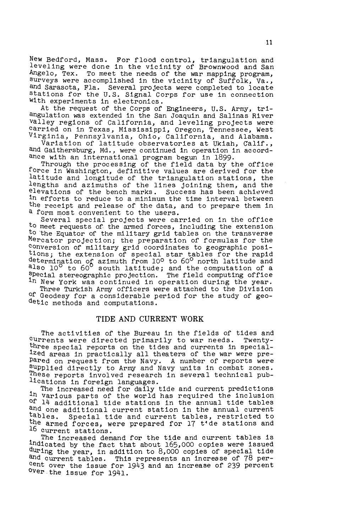New Bedford, Mass. For flood control, triangulation and leveling were done in the vicinity of Brownwood and San Angelo, Tex. To meet the needs of the war mapping program, surveys were accomplished in the vicinity of Suffolk, Va., and Sarasota, Fla. Several projects were completed to locate stations for the U.S. Signal Corps for use in connection With experiments in electronics.

At the request of the Corps of Engineers, U.S. Army, triangulation was extended in the San Joaquin and Salinas River Valley regions of California, and leveling projects were carried on in Texas, Mississippi, Oregon, Tennessee, west Virginia, Pennsylvania, Ohio, California, and Alabama.

Variation of latitude observatories at Ukiah, Calif., and Gaithersburg, Md., were continued in operation in accordance with an international program begun in 1899.

Through the processing of the field data by the office force in Washington, definitive values are derived for the latitude and longitude of the triangulation stations, the lengths and azimuths of the lines joining them, and the elevations of the bench marks. Success has been achieved in efforts to reduce to a minimum the time interval between the receipt and release of the data, and to prepare them in a form most convenient to the users.

Several special projects were carried on in the office to meet requests of. the armed forces, including the extension to the Equator of the military grid tables on the transverse Mercator projection; the preparation of formulas for the conversion of military grid coordinates to geographic positions; the extension of special star tables for the rapid determination of azimuth from 10<sup>o</sup> to 60<sup>o</sup> north latitude and also 10<sup>°</sup> to 60<sup>°</sup> south latitude; and the computation of a special stereographic projection. The field computing office in New York was continued in operation during the year.

Three Turkish Army officers were attached to the Division of Geodesy for a considerable period for the study of geodetic methods and computations.

#### TIDE AND CURRENT WORK

The activities of the Bureau in the fields of tides and currents were directed primarily to war needs. Twentythree special reports on the tides and currents in specialized areas in practically all theaters of the war were prepared on request from the Navy. A number of reports were supplied directly to Army and Navy units in combat zones. These reports involved research in several technical publications in foreign languages.

The increased need for daily tide and current predictions in various parts of the world has required the inclusion Of 14 additional tide stations in the annual tide tables and one additional current station in the annual current tables. Special tide and current tables, restricted to the armed forces, were prepared for 17 t<sup>+</sup>de stations and 16 current stations.

The increased demand for the tide and current tables is indicated by the fact that about 165,000 copies were issued during the year, in addition to 8,000 copies of special tide and current tables. This represents an increase of 78 percent over the issue for  $19\overline{4}3$  and an increase of 239 percent over the issue for  $19\overline{4}1$ .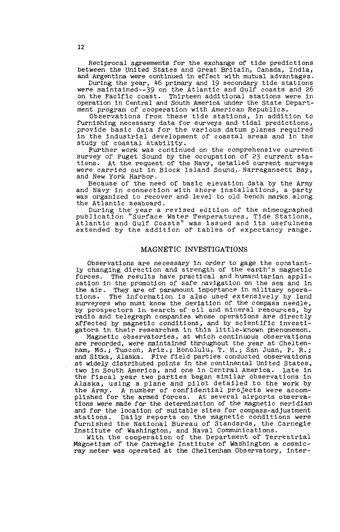Reciprocal agreements for the exchange of tide predictions between the United States and Great Britain, Canada, India, and Argentina were continued in effect with mutual advantages.

During the year, 46 primary and 19 secondary tide stations were maintained--39 on the Atlantic and Gulf coasts and 26 on the Pacific coast. Thirteen additional stations were in operation in Central and South America under the State Department program of cooperation with American Republics.

Observations from these tide stations, in addition to furnishing necessary data for surveys and tidal predictions, provide basic data for. the various datum planes required in the industrial development of coastal areas and in the study of coastal stability.

Further work was continued on the comprehensive current survey of Puget Sound by the occupation of 23 current stations. At the request of the Navy, detailed current surveys were carried out in Block Island Sound,~Narragansett Bay, and New York Harbor.

Because of the need of basic elevation data by the Army and Navy in connection with shore installations, a party was organized to recover and level to old bench marks along the Atlantic seaboard.

During the' year a revised edition of the mimeographed publication "Surface Water Temperatures, Tide Stations, Atlantic and Gulf Coasts" was issued and its usefulness extended by the addition of tables of expectancy range.

#### MAGNETIC INVESTIGATIONS

Observations are necessary in order to gage the constantly changing direction and strength of the earth's magnetic forces. The results have practical and humanitarian application in the promotion of safe navigation on the sea and in the air. They are of paramount importance in military operations. The information is also used extensively by land surveyors who must know the deviation of the compass needle, by prospectors in search of oil and mineral resources, by radio and telegraph companies whose operations are directly affected by magnetic conditions, and by scientific investigators in their researches in this little-known phenomemon.

Magnetic observatories, at which continuous observations are recorded, were maintained throughout the year at Cheltenham, Md.; Tuscon, Ariz.; Honolulu, T. H.; San Juan, P. R.; and Sitka, Alaska. Five field parties conducted observations at widely distributed points in the continental United States, two in South America, and one in central America. Late in the fiscal year two parties began similar observations in Alaska, using a plane and pilot detailed to the work by the Army. *A* number of confidential projects were accomplished for the armed forces. At several airports observations were made for the determination of the magnetic meridian and for the location of suitable sites for compass-adjustment stations. Dally reports on the magnetic conditions were furnished the National Bureau of Standards, the Carnegie Institute of Washington, and Naval Communications.

With the cooperation of the Department of Terrestrial Magnetism of the Carnegie Institute of Washington a cosmicray meter was operated at the Cheltenham Observatory, inter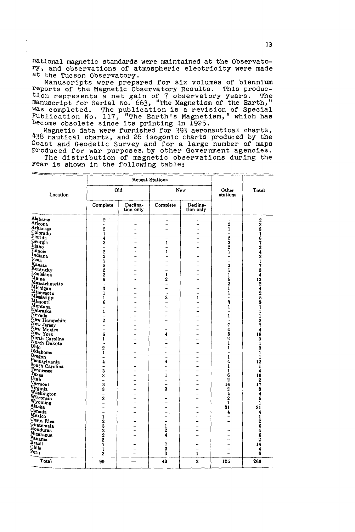national magnetic standards were maintained at the Observatory, and observations of atmospheric electricity were made at the Tucson Observatory.

Manuscripts were prepared for six volumes of biennium reports of the Magnetic Observatory Results. This production represents a net gain of 7 observatory years. The<br>manuscript for Serial No. 663, "The Magnetism of the Earth," was completed. The publication is a revision of Special<br>Publication No. 117, "The Earth's Magnetism," which has<br>become obsolete since its printing in 1925.<br>Magnetic data were furnished for 393 aeronautical charts,

438 nautical charts, and 26 isogonic charts produced by the<br>Coast and Geodetic Survey and for a large number of maps Produced for war purposes. by other Government agencies. The distribution of magnetic observations during the

|                                |                                                 | <b>Repeat Stations</b> |                               |                          |                                |                                               |
|--------------------------------|-------------------------------------------------|------------------------|-------------------------------|--------------------------|--------------------------------|-----------------------------------------------|
| <b>Location</b>                |                                                 | <b>DIG</b>             |                               | New                      | Other<br>stations              | Total                                         |
|                                | Complete                                        | Declina-<br>tion only  | Complete                      | Declina-<br>tion only    |                                |                                               |
| Alabama                        | $2^{\circ}$                                     | -                      |                               | -                        |                                |                                               |
| Arizona                        | μ,                                              |                        | -                             | -                        | $\mathbf 2$                    | $\begin{smallmatrix}2\2\3\1\end{smallmatrix}$ |
| Arkansas<br>Colorado           | $\boldsymbol{2}$                                |                        |                               |                          | $\bar{1}$                      |                                               |
| Florida                        | $\mathbf{i}$<br>4                               |                        | $\overline{a}$<br>L           | -<br>L.                  | $\qquad \qquad -$              |                                               |
| Georgia                        | š                                               |                        | 1                             | .,                       | $\frac{2}{3}$                  | $\frac{6}{7}$                                 |
| Idaho                          | $\overline{a}$                                  |                        | $\overline{\phantom{0}}$      |                          | 2                              |                                               |
| Illinois                       | $\begin{array}{c} 2 \\ 2 \\ 1 \\ 5 \end{array}$ |                        | ı                             | $\overline{a}$           | 1                              | 2421734324259                                 |
| Indiana                        |                                                 |                        |                               |                          | -                              |                                               |
| lowa<br>Kansas                 |                                                 |                        | ä.                            | $\overline{\phantom{0}}$ | $\overline{a}$                 |                                               |
| Kentucky                       |                                                 |                        | $\overline{a}$                | $\overline{a}$           | $\overline{2}$<br>ī            |                                               |
| Louisiana                      | $\frac{2}{6}$                                   |                        | 1                             |                          | $\mathbf{1}$                   |                                               |
| Maine                          |                                                 |                        | $\overline{2}$                | L.                       | 5                              |                                               |
| Massachusetts                  | $\ddot{\phantom{1}}$                            |                        | $\overline{a}$                | -                        | $\tilde{2}$                    |                                               |
| Michigan                       | 3                                               |                        |                               | -                        | ī                              |                                               |
| Minnesota                      | $\mathbf{1}$                                    | $\overline{a}$         | u,                            | $\overline{a}$           | ı                              |                                               |
| Mississippi<br>Missouri        | $\mathbf{1}$                                    |                        | 3                             | $\mathbf{I}$             | $\overline{a}$                 |                                               |
| Montana                        | 6<br>$\overline{a}$                             |                        | ÷.<br>$\ddotsc$               | -<br>L.                  | S,<br>$\mathbf{1}$             | ī                                             |
| Nebraska                       | ï                                               |                        |                               | $\overline{\phantom{0}}$ | $\overline{\phantom{0}}$       | ı                                             |
| Nevada                         | ÷                                               |                        |                               | ÷                        | 1                              | ī                                             |
| New Hampshire                  | $\overline{c}$                                  |                        | ÷.                            | -                        | $\ddot{\phantom{a}}$           |                                               |
| New Jersey<br>New Mexico       | $\frac{1}{2}$                                   |                        | L.                            | $\overline{a}$           | 7                              | $\frac{2}{7}$                                 |
|                                |                                                 |                        | $\overline{a}$                | $\overline{a}$           | 4                              | 4                                             |
| New York                       | 6                                               |                        | 4                             | -                        | 8                              | 18                                            |
| North Carolina<br>North Dakota | 1<br>u.                                         |                        | $\overline{\phantom{0}}$<br>÷ | -<br>$\overline{a}$      | $\overline{2}$<br>$\mathbf{I}$ | $\frac{3}{1}$                                 |
| Ohio                           | $\overline{2}$                                  |                        | ÷.                            | $\overline{a}$           | 1                              | 3                                             |
| Oklahoma                       | ī                                               |                        |                               | ÷.                       | ÷                              | 1                                             |
| Oregon                         | L,                                              |                        | ٠                             | L.                       | 1                              | 1                                             |
| Pennsylvania<br>South Carolina | 4                                               |                        | 4                             |                          | 4                              | 12                                            |
|                                | ÷                                               | L,                     | $\overline{ }$                | ۳                        | 1                              | $\mathbf{1}$                                  |
| Tennessee<br>Texas             | 3                                               |                        | $\overline{a}$                | $\overline{a}$           | 1                              | 4                                             |
| Utah                           | 3<br>$\overline{a}$                             | $\overline{a}$         | $\mathbf{1}$<br>$\rightarrow$ | $\overline{a}$<br>÷      | 6<br>2                         | 10<br>$\mathbf 2$                             |
| Vermont                        | 3                                               |                        | $\overline{a}$                | $\overline{a}$           | 14                             | $1\bar{7}$                                    |
| Virginia                       | $\bar{\mathbf{3}}$                              |                        | 3                             | -                        | 2                              | 8                                             |
| Washington                     | $\overline{\phantom{0}}$                        | L.                     | ۰                             | ÷.                       | 4                              | 4                                             |
| Wisconsin                      | 3                                               | L.                     | -                             | ÷                        | $\mathbf 2$                    | 5                                             |
| Wyoming<br>Alaska              |                                                 |                        |                               |                          | ı                              | ı                                             |
| Canada                         | L<br>$\overline{a}$                             | $\overline{a}$<br>۳    | L.<br>$\overline{a}$          | $\overline{ }$<br>÷      | 31<br>4                        | 31                                            |
| Mexico                         |                                                 | $\overline{a}$         |                               |                          |                                |                                               |
| Costa Rica                     |                                                 |                        | L                             | $\overline{a}$           | -                              |                                               |
| Guatemala                      | 125227                                          | $\overline{a}$         | 1                             | -                        | L.                             | $41264$<br>$6462$<br>$14$                     |
| Honduras                       |                                                 | L.                     | $\frac{2}{4}$                 |                          | $\overline{a}$                 |                                               |
| Nicaragua                      |                                                 |                        |                               |                          | ÷                              |                                               |
| Panama<br>Brazil               |                                                 | $\overline{a}$         | $\frac{1}{7}$                 | $\overline{a}$           | ÷                              |                                               |
| Chile <sup>®</sup>             |                                                 |                        |                               |                          |                                |                                               |
| Peru                           | $\mathbf{1}$<br>2                               | $\overline{a}$         | $\overline{\mathbf{3}}$<br>3  | L.<br>$\mathbf{I}$       | $\overline{a}$                 | 4<br>6                                        |
|                                |                                                 |                        |                               |                          |                                |                                               |
| Total                          | 99                                              |                        | 40                            | $\overline{2}$           | 125                            | 266                                           |

Year is shown in the following table: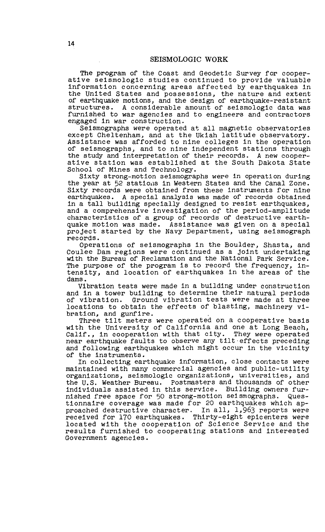The program of the Coast and Geodetic Survey for cooperatl ve seismologic studies continued to provide valuable information concerning areas affected by earthquakes in the United States and possessions, the nature and extent of earthquake motions, and the design of earthquake-resistant structures. A considerable amount of seismologic data was furnished to war agencies and to engineers and contractors engaged in war construction.

Seismographs were operated at all magnetic observatories except Cheltenham, and at the Ukiah latitude observatory. Assistance was afforded to nine colleges in the operation of seismographs, and to nine independent stations through the study and interpretation of their records. A new cooperative station was established at the South Pakota State School of Mines and Technology.

Sixty strong-motion seismographs were in operation during the year at 52 stations in Western States and the Canal Zone. Sixty records were obtained from these instruments for nine earthquakes. A special analysis was made of records obtained in a tall building specially designed to resist earthquakes, and a comprehensive investigation of the period-amplitude characteristics of a group of records of destructive earthquake motion was made. Assistance was given on a special project started by the Navy Department, using seismograph records.

Operations of seismographs in the Boulder, Shasta, and Coulee Dam regions were continued as a joint undertaking with the Bureau of Reclamation and the National Park Service. The purpose of the program is to record the frequency, intensity, and location of earthquakes in the areas of the dams.

Vibration tests were made in a building under construction and in a tower building to determine their natural periods of vibration. Ground vibration tests were made at three locations to obtain the effects of blasting, machinery vi-<br>bration, and gunfire.

Three tilt meters were operated on a cooperative basis with the University of California and one at Long Beach, Calif., in cooperation with that city. They were operated near earthquake faults to observe any tllt·effects preceding and following earthquakes which might occur in the vicinity of the instruments.

In collecting earthquake information, close contacts were maintained with many commercial agencies and public-utility organizations, seismologic organizations, universities, and the U.S. Weather Bureau. Postmasters and thousands of other the U.S. Weather Bureau. Postmasters and thousands of other<br>individuals assisted in this service. Building owners furnished free space for 50 strong-motion selsmographs. Questionnaire coverage was made for 20 earthquakes which approached destructive character. In all, 1,963 reports were received for 170 earthquakes. Thirty-eight epicenters were located with the cooperation of Science Service and the results furnished to cooperating stations and interested Government agencies.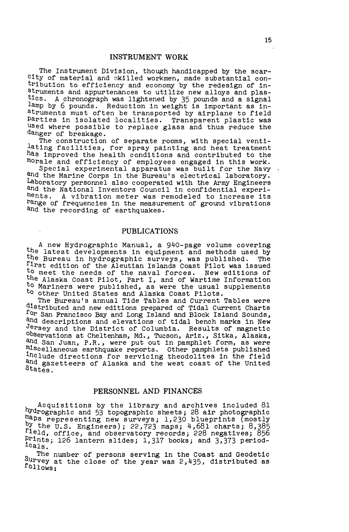#### INSTRUMENT WORK

The Instrument Division, though handicapped by the scarcity of material and skilled workmen, made substantial contribution to efficiency and economy by the redesign of instruments and appurtenances to utilize new alloys and plastics. A chronograph was lightened by 35 pounds and a signal lamp by 6 pounds. Reduction in weight is important as instruments must often be transported by airplane to field Parties in isolated iocalities. Transparent plastic was Used where possible to replace glass and thus reduce the danger of breakage.

The construction of separate rooms, with special ventilating facilities, for spray painting and heat treatment has improved the health conditions and contributed to the morale and efficiency of employees engaged in this work.

Special experimental apparatus was built for the Navy and the Marine Corps in the Bureau's electrical laboratory. Laboratory personnel also cooperated with the Army Engineers and the National Inventors Council in confidential experiments. A vibration meter was remodeled to increase its range of frequencies in the measurement of ground vibrations and the recording of earthquakes.

#### PUBLICATIONS

A new Hydrographic Manual, a 940-page volume covering<br>the latest developments in equipment and methods used by the Bureau in hydrographic surveys, was published. The first edition of the Aleutian Islands Coast Pilot was issued to meet the needs of the naval forces. New editions of the Alaska Coast Pilot, Part I, and of Wartime Information to Mariners were published, as were the usual supplements to other United States and Alaska Coast Pilots.

The Bureau's annual Tide Tables and Current Tables were distributed and new editions prepared of Tidal Current Charts for San Francisco Bay and Long Island and Block Island Sounds, and descriptions and elevations of tidal bench marks in New Jersey and the District of Columbia. Results of magnetic observations at Cheltenham, Md., Tucson, Ariz., Sitka, Alaska, and San Juan, P.R., were put out in pamphlet form, as were miscellaneous earthquake reports. Other pamphlets published include directions for servicing theodolites in the field and gazetteers of Alaska and the west coast of the United States.

#### PERSONNEL AND FINANCES

Acquisitions by the library and archives included 81 hydrographic and 53 topographic sheets; 28 air photographic maps representing new surveys; 1,230 blueprints (mostly by the  $0.5$ . Engineers); 22,723 maps; 4,681 charts; 8,385 field, office, and observatory records; 228 negatives; 856 Pirints; 126 lantern slides; 1,317 books; and 3,373 period- ca1s.

The number of persons serving in the Coast and Geodetic follows: Survey at the close of the year was 2,435, distributed as